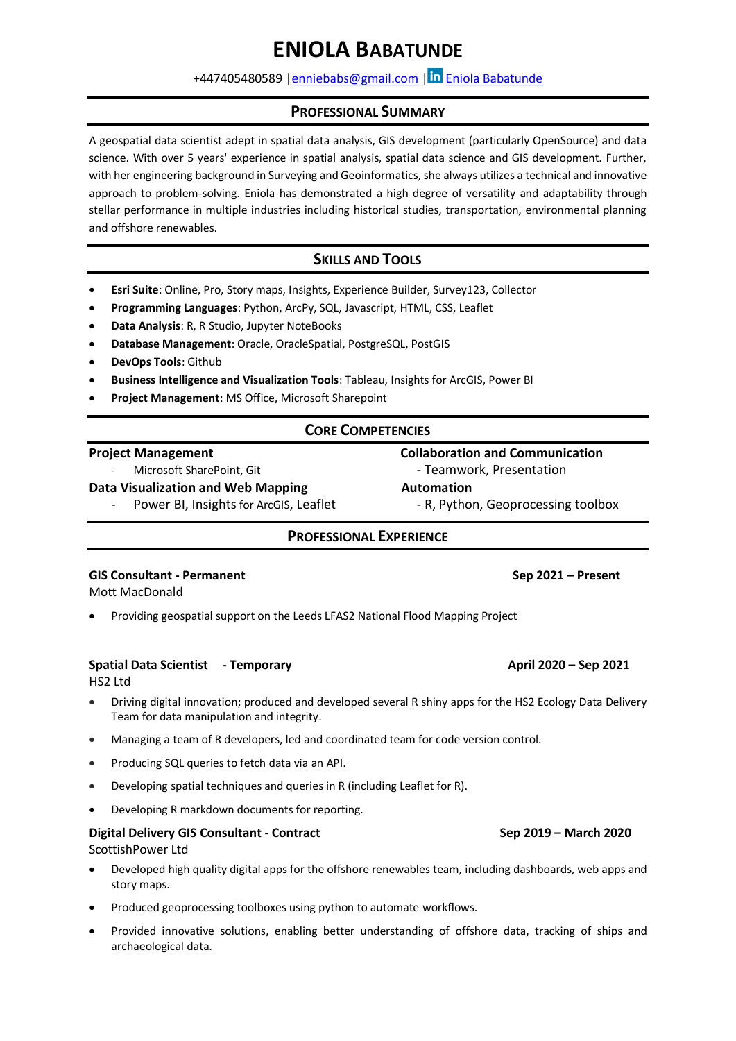# **ENIOLA BABATUNDE**

# +447405480589 [|enniebabs@gmail.com](mailto:enniebabs@gmail.com) | in [Eniola Babatunde](http://www.linkedin.com/in/eniolababatunde)

### **PROFESSIONAL SUMMARY**

A geospatial data scientist adept in spatial data analysis, GIS development (particularly OpenSource) and data science. With over 5 years' experience in spatial analysis, spatial data science and GIS development. Further, with her engineering background in Surveying and Geoinformatics, she always utilizes a technical and innovative approach to problem-solving. Eniola has demonstrated a high degree of versatility and adaptability through stellar performance in multiple industries including historical studies, transportation, environmental planning and offshore renewables.

# **SKILLS AND TOOLS**

- **Esri Suite**: Online, Pro, Story maps, Insights, Experience Builder, Survey123, Collector
- **Programming Languages**: Python, ArcPy, SQL, Javascript, HTML, CSS, Leaflet
- **Data Analysis**: R, R Studio, Jupyter NoteBooks
- **Database Management**: Oracle, OracleSpatial, PostgreSQL, PostGIS
- **DevOps Tools**: Github
- **Business Intelligence and Visualization Tools**: Tableau, Insights for ArcGIS, Power BI
- **Project Management**: MS Office, Microsoft Sharepoint

# **CORE COMPETENCIES**

### **Project Management Collaboration and Communication**

Microsoft SharePoint, Git  $\qquad \qquad \qquad$  - Teamwork, Presentation

**Data Visualization and Web Mapping Manufacture Automation** 

Power BI, Insights for ArcGIS, Leaflet - R, Python, Geoprocessing toolbox

# **PROFESSIONAL EXPERIENCE**

### **GIS Consultant - Permanent Sep 2021 – Present**

Mott MacDonald

• Providing geospatial support on the Leeds LFAS2 National Flood Mapping Project

### **Spatial Data Scientist - Temporary April 2020 – Sep 2021**

HS2 Ltd

- Driving digital innovation; produced and developed several R shiny apps for the HS2 Ecology Data Delivery Team for data manipulation and integrity.
- Managing a team of R developers, led and coordinated team for code version control.
- Producing SQL queries to fetch data via an API.
- Developing spatial techniques and queries in R (including Leaflet for R).
- Developing R markdown documents for reporting.

### **Digital Delivery GIS Consultant - Contract Sep 2019 – March 2020** ScottishPower Ltd

- Developed high quality digital apps for the offshore renewables team, including dashboards, web apps and story maps.
- Produced geoprocessing toolboxes using python to automate workflows.
- Provided innovative solutions, enabling better understanding of offshore data, tracking of ships and archaeological data.